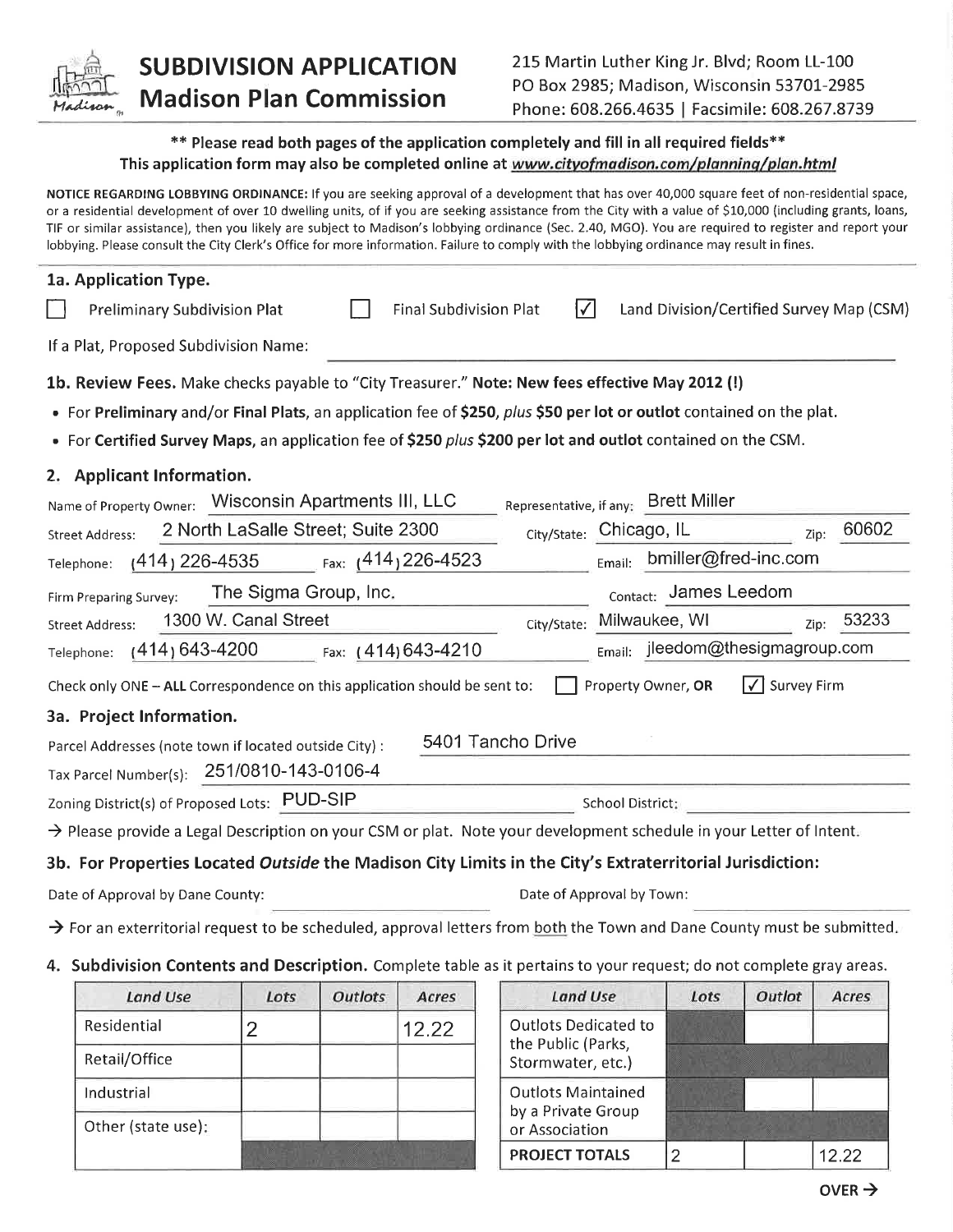

## **SUBDIVISION APPLICATION Madison Plan Commission**

## \*\* Please read both pages of the application completely and fill in all required fields\*\* This application form may also be completed online at www.cityofmadison.com/planning/plan.html

NOTICE REGARDING LOBBYING ORDINANCE: If you are seeking approval of a development that has over 40,000 square feet of non-residential space, or a residential development of over 10 dwelling units, of if you are seeking assistance from the City with a value of \$10,000 (including grants, loans, TIF or similar assistance), then you likely are subject to Madison's lobbying ordinance (Sec. 2.40, MGO). You are required to register and report your lobbying. Please consult the City Clerk's Office for more information. Failure to comply with the lobbying ordinance may result in fines.

| 1a. Application Type.                                                                                                              |
|------------------------------------------------------------------------------------------------------------------------------------|
| $\sqrt{}$<br><b>Final Subdivision Plat</b><br>Land Division/Certified Survey Map (CSM)<br><b>Preliminary Subdivision Plat</b>      |
| If a Plat, Proposed Subdivision Name:                                                                                              |
| 1b. Review Fees. Make checks payable to "City Treasurer." Note: New fees effective May 2012 (!)                                    |
| • For Preliminary and/or Final Plats, an application fee of \$250, plus \$50 per lot or outlot contained on the plat.              |
| • For Certified Survey Maps, an application fee of \$250 plus \$200 per lot and outlot contained on the CSM.                       |
| 2. Applicant Information.                                                                                                          |
| Name of Property Owner: Wisconsin Apartments III, LLC<br>Representative, if any: Brett Miller                                      |
| 60602<br>2 North LaSalle Street; Suite 2300<br>City/State: Chicago, IL<br><b>Street Address:</b><br>Zip:                           |
| bmiller@fred-inc.com<br>Fax: $(414)$ 226-4523<br>$(414)$ 226-4535<br>Email:<br>Telephone:                                          |
| Contact: James Leedom<br>The Sigma Group, Inc.<br>Firm Preparing Survey:                                                           |
| 1300 W. Canal Street<br>53233<br>Milwaukee, WI<br>City/State:<br><b>Street Address:</b><br>Zip:                                    |
| $E_{\text{mail:}}$ jleedom@thesigmagroup.com<br>$(414)$ 643-4200<br>Fax: (414) 643-4210<br>Telephone:                              |
| l√l<br>Survey Firm<br>Property Owner, OR<br>Check only ONE - ALL Correspondence on this application should be sent to:             |
| 3a. Project Information.                                                                                                           |
| 5401 Tancho Drive<br>Parcel Addresses (note town if located outside City) :                                                        |
| Tax Parcel Number(s): 251/0810-143-0106-4                                                                                          |
| Zoning District(s) of Proposed Lots: PUD-SIP<br>School District:                                                                   |
| $\rightarrow$ Please provide a Legal Description on your CSM or plat. Note your development schedule in your Letter of Intent.     |
| 3b. For Properties Located Outside the Madison City Limits in the City's Extraterritorial Jurisdiction:                            |
| Date of Approval by Town:<br>Date of Approval by Dane County:                                                                      |
| $\rightarrow$ For an exterritorial request to be scheduled, approval letters from both the Town and Dane County must be submitted. |
| 4. Subdivision Contents and Description. Complete table as it pertains to your request; do not complete gray areas.                |

| <b>Land Use</b>    | Lots | <b>Outlots</b> | Acres | <b>Land Use</b>                                                        | Lots | Outlot | Acres |
|--------------------|------|----------------|-------|------------------------------------------------------------------------|------|--------|-------|
| Residential        |      |                | 12.22 | <b>Outlots Dedicated to</b><br>the Public (Parks,<br>Stormwater, etc.) |      |        |       |
| Retail/Office      |      |                |       |                                                                        |      |        |       |
| Industrial         |      |                |       | <b>Outlots Maintained</b>                                              |      |        |       |
| Other (state use): |      |                |       | by a Private Group<br>or Association                                   |      |        |       |
|                    |      |                |       | <b>PROJECT TOTALS</b>                                                  | n    |        | 12.22 |